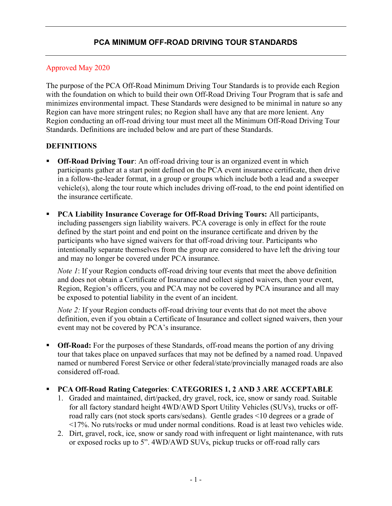#### Approved May 2020

The purpose of the PCA Off-Road Minimum Driving Tour Standards is to provide each Region with the foundation on which to build their own Off-Road Driving Tour Program that is safe and minimizes environmental impact. These Standards were designed to be minimal in nature so any Region can have more stringent rules; no Region shall have any that are more lenient. Any Region conducting an off-road driving tour must meet all the Minimum Off-Road Driving Tour Standards. Definitions are included below and are part of these Standards.

### DEFINITIONS

- Off-Road Driving Tour: An off-road driving tour is an organized event in which participants gather at a start point defined on the PCA event insurance certificate, then drive in a follow-the-leader format, in a group or groups which include both a lead and a sweeper vehicle(s), along the tour route which includes driving off-road, to the end point identified on the insurance certificate.
- PCA Liability Insurance Coverage for Off-Road Driving Tours: All participants, including passengers sign liability waivers. PCA coverage is only in effect for the route defined by the start point and end point on the insurance certificate and driven by the participants who have signed waivers for that off-road driving tour. Participants who intentionally separate themselves from the group are considered to have left the driving tour and may no longer be covered under PCA insurance.

Note 1: If your Region conducts off-road driving tour events that meet the above definition and does not obtain a Certificate of Insurance and collect signed waivers, then your event, Region, Region's officers, you and PCA may not be covered by PCA insurance and all may be exposed to potential liability in the event of an incident.

*Note 2*: If your Region conducts off-road driving tour events that do not meet the above definition, even if you obtain a Certificate of Insurance and collect signed waivers, then your event may not be covered by PCA's insurance.

 Off-Road: For the purposes of these Standards, off-road means the portion of any driving tour that takes place on unpaved surfaces that may not be defined by a named road. Unpaved named or numbered Forest Service or other federal/state/provincially managed roads are also considered off-road.

#### PCA Off-Road Rating Categories: CATEGORIES 1, 2 AND 3 ARE ACCEPTABLE

- 1. Graded and maintained, dirt/packed, dry gravel, rock, ice, snow or sandy road. Suitable for all factory standard height 4WD/AWD Sport Utility Vehicles (SUVs), trucks or offroad rally cars (not stock sports cars/sedans). Gentle grades <10 degrees or a grade of <17%. No ruts/rocks or mud under normal conditions. Road is at least two vehicles wide.
- 2. Dirt, gravel, rock, ice, snow or sandy road with infrequent or light maintenance, with ruts or exposed rocks up to 5". 4WD/AWD SUVs, pickup trucks or off-road rally cars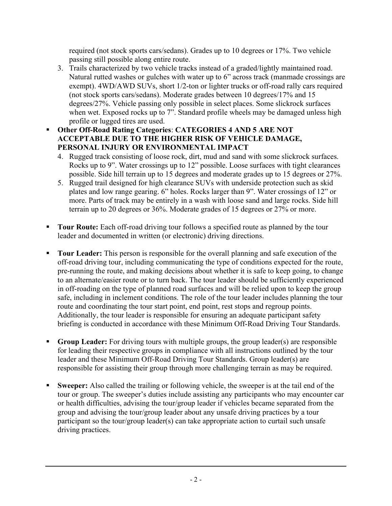required (not stock sports cars/sedans). Grades up to 10 degrees or 17%. Two vehicle passing still possible along entire route.

- 3. Trails characterized by two vehicle tracks instead of a graded/lightly maintained road. Natural rutted washes or gulches with water up to 6" across track (manmade crossings are exempt). 4WD/AWD SUVs, short 1/2-ton or lighter trucks or off-road rally cars required (not stock sports cars/sedans). Moderate grades between 10 degrees/17% and 15 degrees/27%. Vehicle passing only possible in select places. Some slickrock surfaces when wet. Exposed rocks up to 7". Standard profile wheels may be damaged unless high profile or lugged tires are used.
- Other Off-Road Rating Categories: CATEGORIES 4 AND 5 ARE NOT ACCEPTABLE DUE TO THE HIGHER RISK OF VEHICLE DAMAGE, PERSONAL INJURY OR ENVIRONMENTAL IMPACT
	- 4. Rugged track consisting of loose rock, dirt, mud and sand with some slickrock surfaces. Rocks up to 9". Water crossings up to 12" possible. Loose surfaces with tight clearances possible. Side hill terrain up to 15 degrees and moderate grades up to 15 degrees or 27%.
	- 5. Rugged trail designed for high clearance SUVs with underside protection such as skid plates and low range gearing. 6" holes. Rocks larger than 9". Water crossings of 12" or more. Parts of track may be entirely in a wash with loose sand and large rocks. Side hill terrain up to 20 degrees or 36%. Moderate grades of 15 degrees or 27% or more.
- Tour Route: Each off-road driving tour follows a specified route as planned by the tour leader and documented in written (or electronic) driving directions.
- Tour Leader: This person is responsible for the overall planning and safe execution of the off-road driving tour, including communicating the type of conditions expected for the route, pre-running the route, and making decisions about whether it is safe to keep going, to change to an alternate/easier route or to turn back. The tour leader should be sufficiently experienced in off-roading on the type of planned road surfaces and will be relied upon to keep the group safe, including in inclement conditions. The role of the tour leader includes planning the tour route and coordinating the tour start point, end point, rest stops and regroup points. Additionally, the tour leader is responsible for ensuring an adequate participant safety briefing is conducted in accordance with these Minimum Off-Road Driving Tour Standards.
- Group Leader: For driving tours with multiple groups, the group leader(s) are responsible for leading their respective groups in compliance with all instructions outlined by the tour leader and these Minimum Off-Road Driving Tour Standards. Group leader(s) are responsible for assisting their group through more challenging terrain as may be required.
- Sweeper: Also called the trailing or following vehicle, the sweeper is at the tail end of the tour or group. The sweeper's duties include assisting any participants who may encounter car or health difficulties, advising the tour/group leader if vehicles became separated from the group and advising the tour/group leader about any unsafe driving practices by a tour participant so the tour/group leader(s) can take appropriate action to curtail such unsafe driving practices.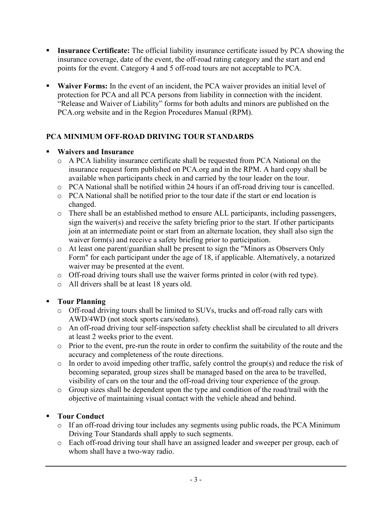- Insurance Certificate: The official liability insurance certificate issued by PCA showing the insurance coverage, date of the event, the off-road rating category and the start and end points for the event. Category 4 and 5 off-road tours are not acceptable to PCA.
- **Waiver Forms:** In the event of an incident, the PCA waiver provides an initial level of protection for PCA and all PCA persons from liability in connection with the incident. "Release and Waiver of Liability" forms for both adults and minors are published on the PCA.org website and in the Region Procedures Manual (RPM).

## PCA MINIMUM OFF-ROAD DRIVING TOUR STANDARDS

#### Waivers and Insurance

- o A PCA liability insurance certificate shall be requested from PCA National on the insurance request form published on PCA.org and in the RPM. A hard copy shall be available when participants check in and carried by the tour leader on the tour.
- o PCA National shall be notified within 24 hours if an off-road driving tour is cancelled.
- o PCA National shall be notified prior to the tour date if the start or end location is changed.
- o There shall be an established method to ensure ALL participants, including passengers, sign the waiver(s) and receive the safety briefing prior to the start. If other participants join at an intermediate point or start from an alternate location, they shall also sign the waiver form(s) and receive a safety briefing prior to participation.
- o At least one parent/guardian shall be present to sign the "Minors as Observers Only Form" for each participant under the age of 18, if applicable. Alternatively, a notarized waiver may be presented at the event.
- o Off-road driving tours shall use the waiver forms printed in color (with red type).
- o All drivers shall be at least 18 years old.

## Tour Planning

- o Off-road driving tours shall be limited to SUVs, trucks and off-road rally cars with AWD/4WD (not stock sports cars/sedans).
- o An off-road driving tour self-inspection safety checklist shall be circulated to all drivers at least 2 weeks prior to the event.
- o Prior to the event, pre-run the route in order to confirm the suitability of the route and the accuracy and completeness of the route directions.
- o In order to avoid impeding other traffic, safely control the group(s) and reduce the risk of becoming separated, group sizes shall be managed based on the area to be travelled, visibility of cars on the tour and the off-road driving tour experience of the group.
- o Group sizes shall be dependent upon the type and condition of the road/trail with the objective of maintaining visual contact with the vehicle ahead and behind.

## Tour Conduct

- o If an off-road driving tour includes any segments using public roads, the PCA Minimum Driving Tour Standards shall apply to such segments.
- o Each off-road driving tour shall have an assigned leader and sweeper per group, each of whom shall have a two-way radio.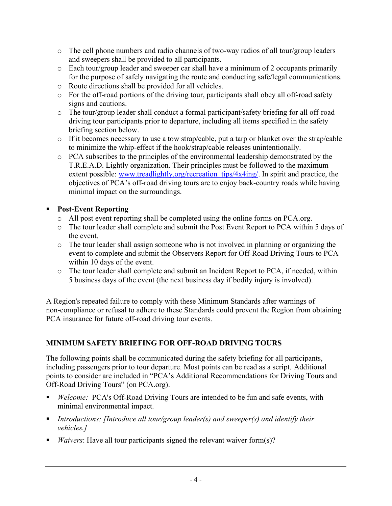- o The cell phone numbers and radio channels of two-way radios of all tour/group leaders and sweepers shall be provided to all participants.
- o Each tour/group leader and sweeper car shall have a minimum of 2 occupants primarily for the purpose of safely navigating the route and conducting safe/legal communications.
- o Route directions shall be provided for all vehicles.
- o For the off-road portions of the driving tour, participants shall obey all off-road safety signs and cautions.
- o The tour/group leader shall conduct a formal participant/safety briefing for all off-road driving tour participants prior to departure, including all items specified in the safety briefing section below.
- o If it becomes necessary to use a tow strap/cable, put a tarp or blanket over the strap/cable to minimize the whip-effect if the hook/strap/cable releases unintentionally.
- o PCA subscribes to the principles of the environmental leadership demonstrated by the T.R.E.A.D. Lightly organization. Their principles must be followed to the maximum extent possible: www.treadlightly.org/recreation\_tips/4x4ing/. In spirit and practice, the objectives of PCA's off-road driving tours are to enjoy back-country roads while having minimal impact on the surroundings.

## **Post-Event Reporting**

- o All post event reporting shall be completed using the online forms on PCA.org.
- o The tour leader shall complete and submit the Post Event Report to PCA within 5 days of the event.
- o The tour leader shall assign someone who is not involved in planning or organizing the event to complete and submit the Observers Report for Off-Road Driving Tours to PCA within 10 days of the event.
- o The tour leader shall complete and submit an Incident Report to PCA, if needed, within 5 business days of the event (the next business day if bodily injury is involved).

A Region's repeated failure to comply with these Minimum Standards after warnings of non-compliance or refusal to adhere to these Standards could prevent the Region from obtaining PCA insurance for future off-road driving tour events.

# MINIMUM SAFETY BRIEFING FOR OFF-ROAD DRIVING TOURS

The following points shall be communicated during the safety briefing for all participants, including passengers prior to tour departure. Most points can be read as a script. Additional points to consider are included in "PCA's Additional Recommendations for Driving Tours and Off-Road Driving Tours" (on PCA.org).

- Welcome: PCA's Off-Road Driving Tours are intended to be fun and safe events, with minimal environmental impact.
- Introductions: [Introduce all tour/group leader(s) and sweeper(s) and identify their vehicles.]
- *Waivers*: Have all tour participants signed the relevant waiver form(s)?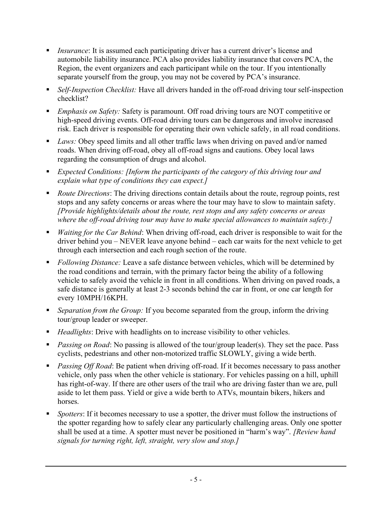- Insurance: It is assumed each participating driver has a current driver's license and automobile liability insurance. PCA also provides liability insurance that covers PCA, the Region, the event organizers and each participant while on the tour. If you intentionally separate yourself from the group, you may not be covered by PCA's insurance.
- Self-Inspection Checklist: Have all drivers handed in the off-road driving tour self-inspection checklist?
- **Emphasis on Safety: Safety is paramount. Off road driving tours are NOT competitive or** high-speed driving events. Off-road driving tours can be dangerous and involve increased risk. Each driver is responsible for operating their own vehicle safely, in all road conditions.
- Laws: Obey speed limits and all other traffic laws when driving on paved and/or named roads. When driving off-road, obey all off-road signs and cautions. Obey local laws regarding the consumption of drugs and alcohol.
- **Expected Conditions: [Inform the participants of the category of this driving tour and** explain what type of conditions they can expect.]
- Route Directions: The driving directions contain details about the route, regroup points, rest stops and any safety concerns or areas where the tour may have to slow to maintain safety. [Provide highlights/details about the route, rest stops and any safety concerns or areas where the off-road driving tour may have to make special allowances to maintain safety.]
- *Waiting for the Car Behind:* When driving off-road, each driver is responsible to wait for the driver behind you – NEVER leave anyone behind – each car waits for the next vehicle to get through each intersection and each rough section of the route.
- Following Distance: Leave a safe distance between vehicles, which will be determined by the road conditions and terrain, with the primary factor being the ability of a following vehicle to safely avoid the vehicle in front in all conditions. When driving on paved roads, a safe distance is generally at least 2-3 seconds behind the car in front, or one car length for every 10MPH/16KPH.
- Separation from the Group: If you become separated from the group, inform the driving tour/group leader or sweeper.
- Headlights: Drive with headlights on to increase visibility to other vehicles.
- Passing on Road: No passing is allowed of the tour/group leader(s). They set the pace. Pass cyclists, pedestrians and other non-motorized traffic SLOWLY, giving a wide berth.
- Passing Off Road: Be patient when driving off-road. If it becomes necessary to pass another vehicle, only pass when the other vehicle is stationary. For vehicles passing on a hill, uphill has right-of-way. If there are other users of the trail who are driving faster than we are, pull aside to let them pass. Yield or give a wide berth to ATVs, mountain bikers, hikers and horses.
- Spotters: If it becomes necessary to use a spotter, the driver must follow the instructions of the spotter regarding how to safely clear any particularly challenging areas. Only one spotter shall be used at a time. A spotter must never be positioned in "harm's way". [Review hand signals for turning right, left, straight, very slow and stop.]